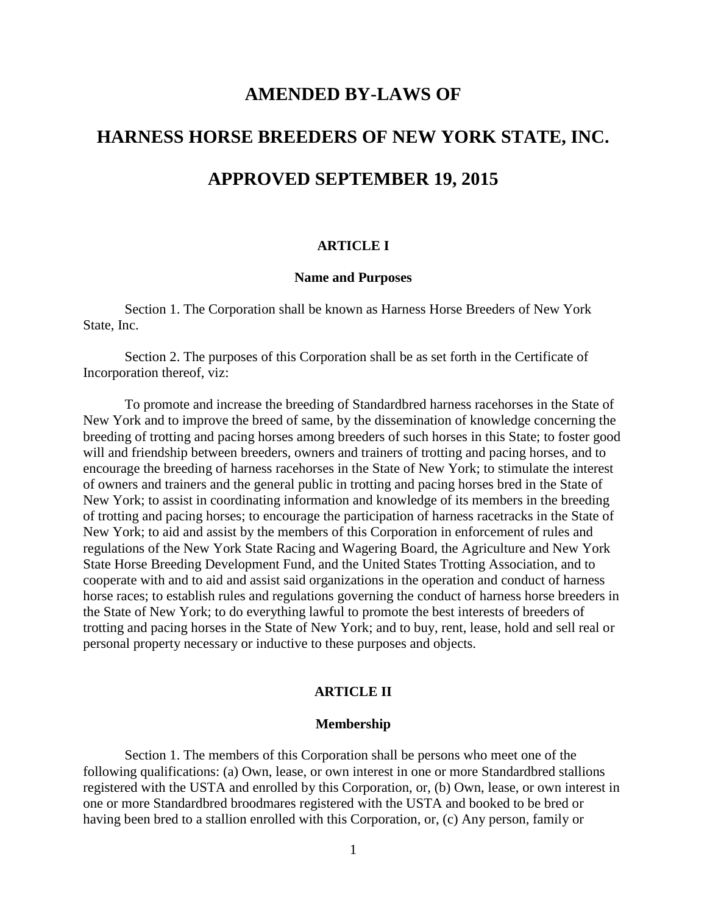# **AMENDED BY-LAWS OF HARNESS HORSE BREEDERS OF NEW YORK STATE, INC. APPROVED SEPTEMBER 19, 2015**

# **ARTICLE I**

## **Name and Purposes**

Section 1. The Corporation shall be known as Harness Horse Breeders of New York State, Inc.

Section 2. The purposes of this Corporation shall be as set forth in the Certificate of Incorporation thereof, viz:

To promote and increase the breeding of Standardbred harness racehorses in the State of New York and to improve the breed of same, by the dissemination of knowledge concerning the breeding of trotting and pacing horses among breeders of such horses in this State; to foster good will and friendship between breeders, owners and trainers of trotting and pacing horses, and to encourage the breeding of harness racehorses in the State of New York; to stimulate the interest of owners and trainers and the general public in trotting and pacing horses bred in the State of New York; to assist in coordinating information and knowledge of its members in the breeding of trotting and pacing horses; to encourage the participation of harness racetracks in the State of New York; to aid and assist by the members of this Corporation in enforcement of rules and regulations of the New York State Racing and Wagering Board, the Agriculture and New York State Horse Breeding Development Fund, and the United States Trotting Association, and to cooperate with and to aid and assist said organizations in the operation and conduct of harness horse races; to establish rules and regulations governing the conduct of harness horse breeders in the State of New York; to do everything lawful to promote the best interests of breeders of trotting and pacing horses in the State of New York; and to buy, rent, lease, hold and sell real or personal property necessary or inductive to these purposes and objects.

# **ARTICLE II**

#### **Membership**

Section 1. The members of this Corporation shall be persons who meet one of the following qualifications: (a) Own, lease, or own interest in one or more Standardbred stallions registered with the USTA and enrolled by this Corporation, or, (b) Own, lease, or own interest in one or more Standardbred broodmares registered with the USTA and booked to be bred or having been bred to a stallion enrolled with this Corporation, or, (c) Any person, family or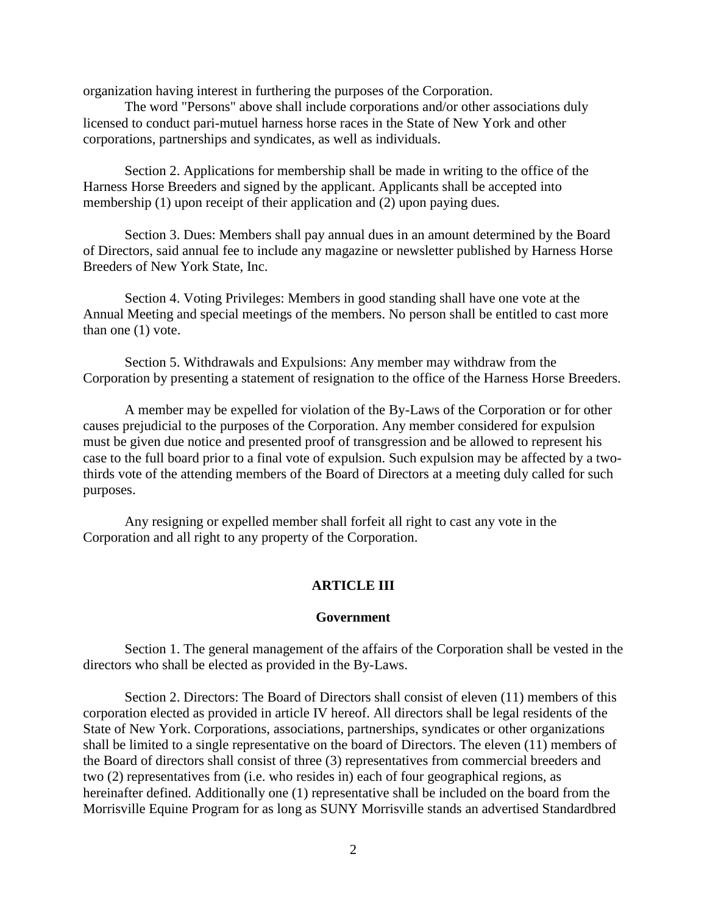organization having interest in furthering the purposes of the Corporation.

The word "Persons" above shall include corporations and/or other associations duly licensed to conduct pari-mutuel harness horse races in the State of New York and other corporations, partnerships and syndicates, as well as individuals.

Section 2. Applications for membership shall be made in writing to the office of the Harness Horse Breeders and signed by the applicant. Applicants shall be accepted into membership (1) upon receipt of their application and (2) upon paying dues.

Section 3. Dues: Members shall pay annual dues in an amount determined by the Board of Directors, said annual fee to include any magazine or newsletter published by Harness Horse Breeders of New York State, Inc.

Section 4. Voting Privileges: Members in good standing shall have one vote at the Annual Meeting and special meetings of the members. No person shall be entitled to cast more than one (1) vote.

Section 5. Withdrawals and Expulsions: Any member may withdraw from the Corporation by presenting a statement of resignation to the office of the Harness Horse Breeders.

A member may be expelled for violation of the By-Laws of the Corporation or for other causes prejudicial to the purposes of the Corporation. Any member considered for expulsion must be given due notice and presented proof of transgression and be allowed to represent his case to the full board prior to a final vote of expulsion. Such expulsion may be affected by a twothirds vote of the attending members of the Board of Directors at a meeting duly called for such purposes.

Any resigning or expelled member shall forfeit all right to cast any vote in the Corporation and all right to any property of the Corporation.

# **ARTICLE III**

# **Government**

Section 1. The general management of the affairs of the Corporation shall be vested in the directors who shall be elected as provided in the By-Laws.

Section 2. Directors: The Board of Directors shall consist of eleven (11) members of this corporation elected as provided in article IV hereof. All directors shall be legal residents of the State of New York. Corporations, associations, partnerships, syndicates or other organizations shall be limited to a single representative on the board of Directors. The eleven (11) members of the Board of directors shall consist of three (3) representatives from commercial breeders and two (2) representatives from (i.e. who resides in) each of four geographical regions, as hereinafter defined. Additionally one (1) representative shall be included on the board from the Morrisville Equine Program for as long as SUNY Morrisville stands an advertised Standardbred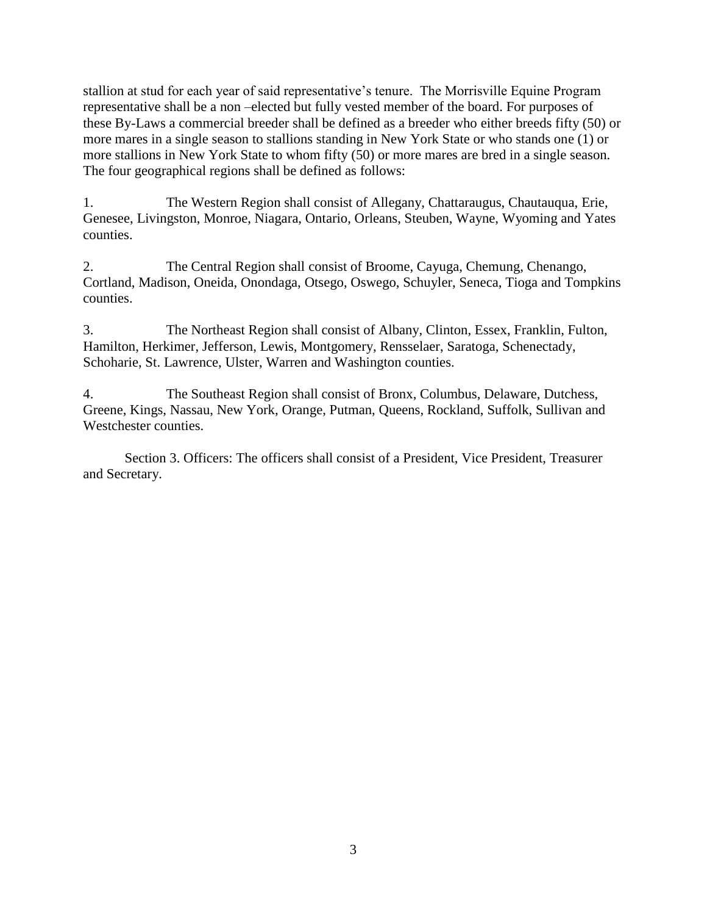stallion at stud for each year of said representative's tenure. The Morrisville Equine Program representative shall be a non –elected but fully vested member of the board. For purposes of these By-Laws a commercial breeder shall be defined as a breeder who either breeds fifty (50) or more mares in a single season to stallions standing in New York State or who stands one (1) or more stallions in New York State to whom fifty (50) or more mares are bred in a single season. The four geographical regions shall be defined as follows:

1. The Western Region shall consist of Allegany, Chattaraugus, Chautauqua, Erie, Genesee, Livingston, Monroe, Niagara, Ontario, Orleans, Steuben, Wayne, Wyoming and Yates counties.

2. The Central Region shall consist of Broome, Cayuga, Chemung, Chenango, Cortland, Madison, Oneida, Onondaga, Otsego, Oswego, Schuyler, Seneca, Tioga and Tompkins counties.

3. The Northeast Region shall consist of Albany, Clinton, Essex, Franklin, Fulton, Hamilton, Herkimer, Jefferson, Lewis, Montgomery, Rensselaer, Saratoga, Schenectady, Schoharie, St. Lawrence, Ulster, Warren and Washington counties.

4. The Southeast Region shall consist of Bronx, Columbus, Delaware, Dutchess, Greene, Kings, Nassau, New York, Orange, Putman, Queens, Rockland, Suffolk, Sullivan and Westchester counties.

Section 3. Officers: The officers shall consist of a President, Vice President, Treasurer and Secretary.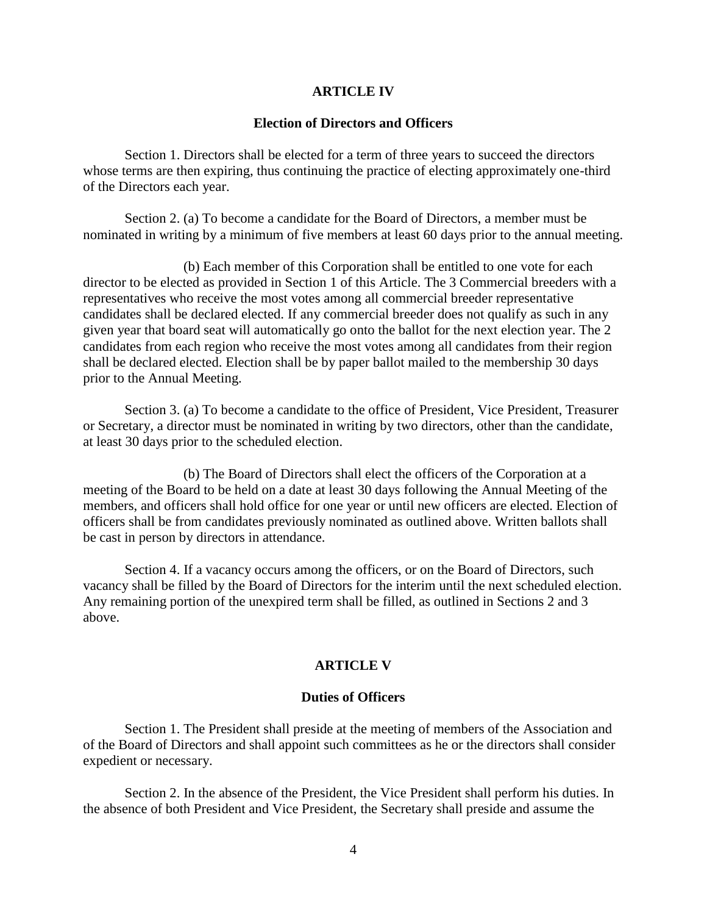## **ARTICLE IV**

### **Election of Directors and Officers**

Section 1. Directors shall be elected for a term of three years to succeed the directors whose terms are then expiring, thus continuing the practice of electing approximately one-third of the Directors each year.

Section 2. (a) To become a candidate for the Board of Directors, a member must be nominated in writing by a minimum of five members at least 60 days prior to the annual meeting.

 (b) Each member of this Corporation shall be entitled to one vote for each director to be elected as provided in Section 1 of this Article. The 3 Commercial breeders with a representatives who receive the most votes among all commercial breeder representative candidates shall be declared elected. If any commercial breeder does not qualify as such in any given year that board seat will automatically go onto the ballot for the next election year. The 2 candidates from each region who receive the most votes among all candidates from their region shall be declared elected. Election shall be by paper ballot mailed to the membership 30 days prior to the Annual Meeting.

Section 3. (a) To become a candidate to the office of President, Vice President, Treasurer or Secretary, a director must be nominated in writing by two directors, other than the candidate, at least 30 days prior to the scheduled election.

 (b) The Board of Directors shall elect the officers of the Corporation at a meeting of the Board to be held on a date at least 30 days following the Annual Meeting of the members, and officers shall hold office for one year or until new officers are elected. Election of officers shall be from candidates previously nominated as outlined above. Written ballots shall be cast in person by directors in attendance.

Section 4. If a vacancy occurs among the officers, or on the Board of Directors, such vacancy shall be filled by the Board of Directors for the interim until the next scheduled election. Any remaining portion of the unexpired term shall be filled, as outlined in Sections 2 and 3 above.

#### **ARTICLE V**

#### **Duties of Officers**

Section 1. The President shall preside at the meeting of members of the Association and of the Board of Directors and shall appoint such committees as he or the directors shall consider expedient or necessary.

Section 2. In the absence of the President, the Vice President shall perform his duties. In the absence of both President and Vice President, the Secretary shall preside and assume the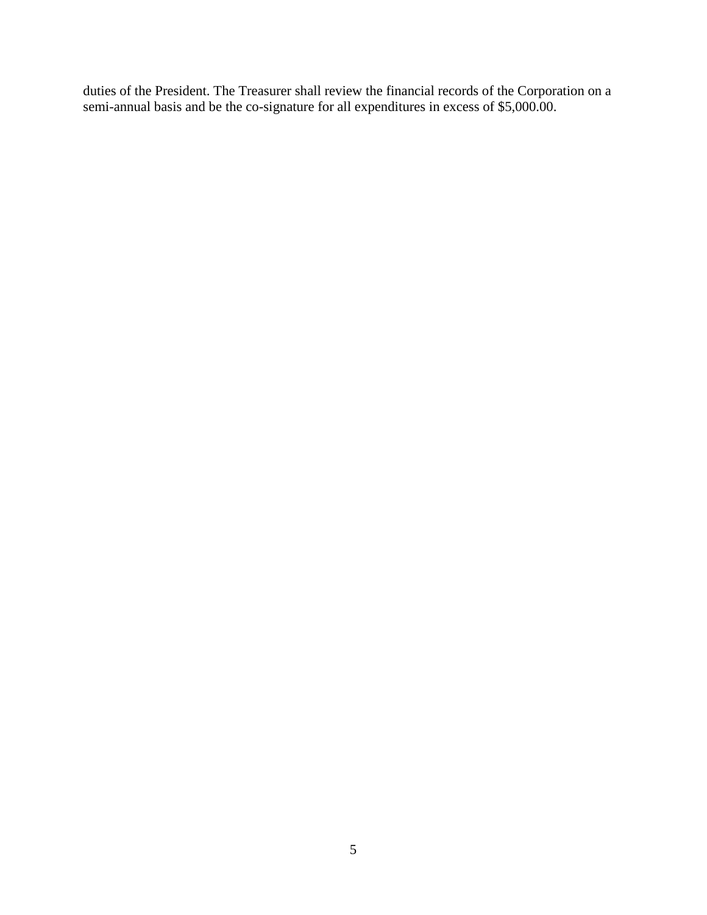duties of the President. The Treasurer shall review the financial records of the Corporation on a semi-annual basis and be the co-signature for all expenditures in excess of \$5,000.00.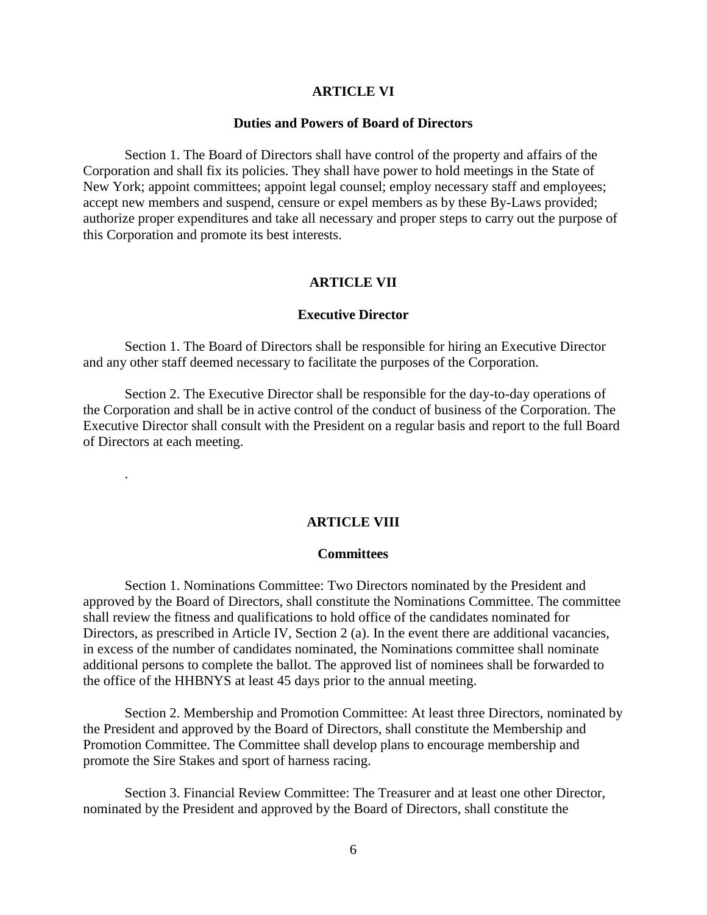#### **ARTICLE VI**

#### **Duties and Powers of Board of Directors**

Section 1. The Board of Directors shall have control of the property and affairs of the Corporation and shall fix its policies. They shall have power to hold meetings in the State of New York; appoint committees; appoint legal counsel; employ necessary staff and employees; accept new members and suspend, censure or expel members as by these By-Laws provided; authorize proper expenditures and take all necessary and proper steps to carry out the purpose of this Corporation and promote its best interests.

# **ARTICLE VII**

## **Executive Director**

Section 1. The Board of Directors shall be responsible for hiring an Executive Director and any other staff deemed necessary to facilitate the purposes of the Corporation.

Section 2. The Executive Director shall be responsible for the day-to-day operations of the Corporation and shall be in active control of the conduct of business of the Corporation. The Executive Director shall consult with the President on a regular basis and report to the full Board of Directors at each meeting.

.

## **ARTICLE VIII**

#### **Committees**

Section 1. Nominations Committee: Two Directors nominated by the President and approved by the Board of Directors, shall constitute the Nominations Committee. The committee shall review the fitness and qualifications to hold office of the candidates nominated for Directors, as prescribed in Article IV, Section 2 (a). In the event there are additional vacancies, in excess of the number of candidates nominated, the Nominations committee shall nominate additional persons to complete the ballot. The approved list of nominees shall be forwarded to the office of the HHBNYS at least 45 days prior to the annual meeting.

Section 2. Membership and Promotion Committee: At least three Directors, nominated by the President and approved by the Board of Directors, shall constitute the Membership and Promotion Committee. The Committee shall develop plans to encourage membership and promote the Sire Stakes and sport of harness racing.

Section 3. Financial Review Committee: The Treasurer and at least one other Director, nominated by the President and approved by the Board of Directors, shall constitute the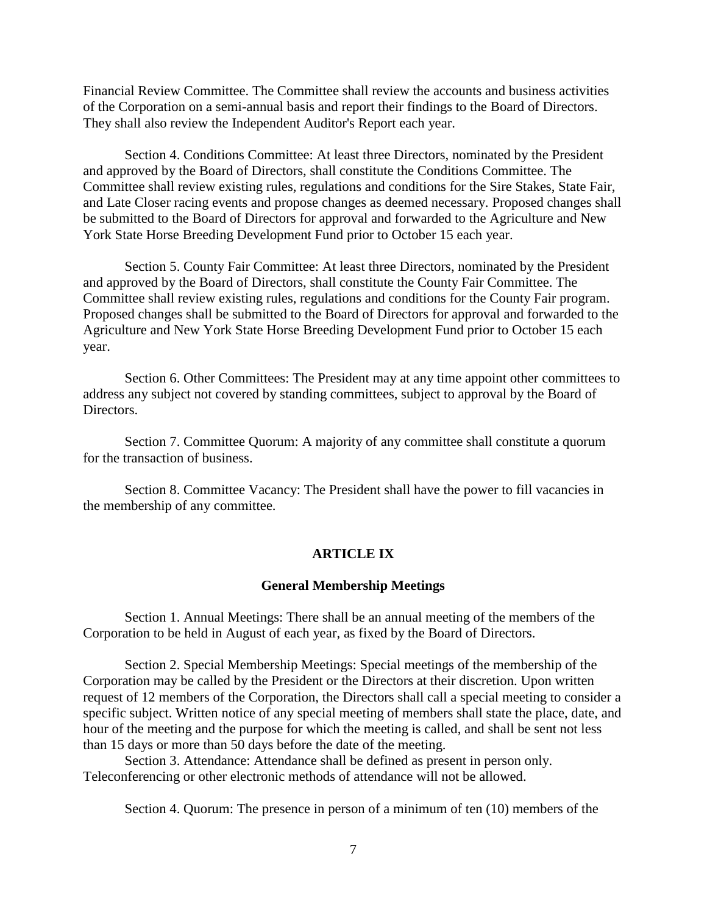Financial Review Committee. The Committee shall review the accounts and business activities of the Corporation on a semi-annual basis and report their findings to the Board of Directors. They shall also review the Independent Auditor's Report each year.

Section 4. Conditions Committee: At least three Directors, nominated by the President and approved by the Board of Directors, shall constitute the Conditions Committee. The Committee shall review existing rules, regulations and conditions for the Sire Stakes, State Fair, and Late Closer racing events and propose changes as deemed necessary. Proposed changes shall be submitted to the Board of Directors for approval and forwarded to the Agriculture and New York State Horse Breeding Development Fund prior to October 15 each year.

Section 5. County Fair Committee: At least three Directors, nominated by the President and approved by the Board of Directors, shall constitute the County Fair Committee. The Committee shall review existing rules, regulations and conditions for the County Fair program. Proposed changes shall be submitted to the Board of Directors for approval and forwarded to the Agriculture and New York State Horse Breeding Development Fund prior to October 15 each year.

Section 6. Other Committees: The President may at any time appoint other committees to address any subject not covered by standing committees, subject to approval by the Board of Directors.

Section 7. Committee Quorum: A majority of any committee shall constitute a quorum for the transaction of business.

Section 8. Committee Vacancy: The President shall have the power to fill vacancies in the membership of any committee.

# **ARTICLE IX**

### **General Membership Meetings**

Section 1. Annual Meetings: There shall be an annual meeting of the members of the Corporation to be held in August of each year, as fixed by the Board of Directors.

Section 2. Special Membership Meetings: Special meetings of the membership of the Corporation may be called by the President or the Directors at their discretion. Upon written request of 12 members of the Corporation, the Directors shall call a special meeting to consider a specific subject. Written notice of any special meeting of members shall state the place, date, and hour of the meeting and the purpose for which the meeting is called, and shall be sent not less than 15 days or more than 50 days before the date of the meeting.

Section 3. Attendance: Attendance shall be defined as present in person only. Teleconferencing or other electronic methods of attendance will not be allowed.

Section 4. Quorum: The presence in person of a minimum of ten (10) members of the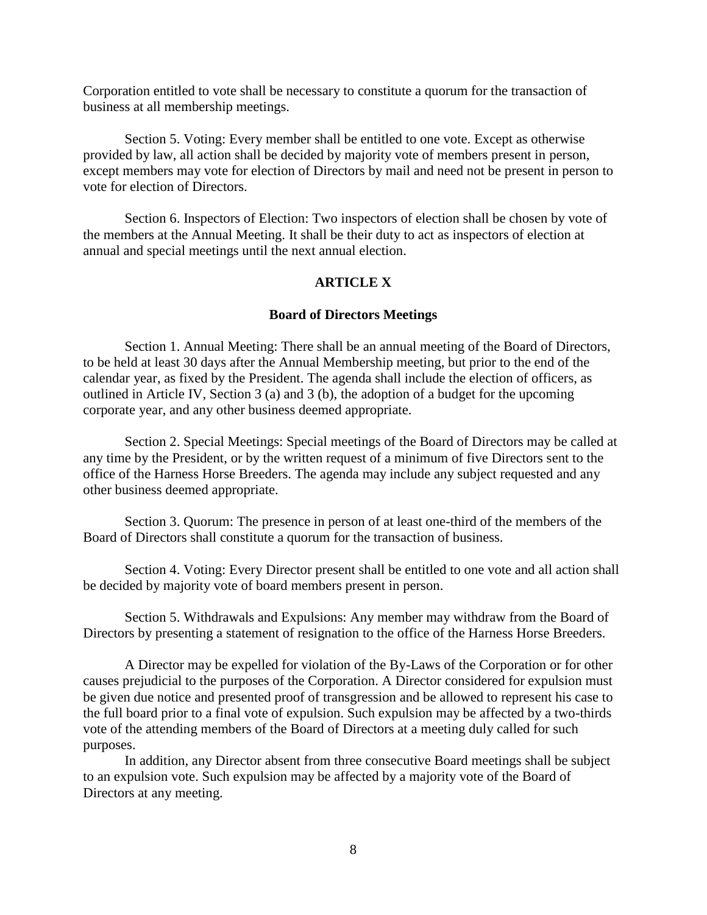Corporation entitled to vote shall be necessary to constitute a quorum for the transaction of business at all membership meetings.

Section 5. Voting: Every member shall be entitled to one vote. Except as otherwise provided by law, all action shall be decided by majority vote of members present in person, except members may vote for election of Directors by mail and need not be present in person to vote for election of Directors.

Section 6. Inspectors of Election: Two inspectors of election shall be chosen by vote of the members at the Annual Meeting. It shall be their duty to act as inspectors of election at annual and special meetings until the next annual election.

# **ARTICLE X**

#### **Board of Directors Meetings**

Section 1. Annual Meeting: There shall be an annual meeting of the Board of Directors, to be held at least 30 days after the Annual Membership meeting, but prior to the end of the calendar year, as fixed by the President. The agenda shall include the election of officers, as outlined in Article IV, Section 3 (a) and 3 (b), the adoption of a budget for the upcoming corporate year, and any other business deemed appropriate.

Section 2. Special Meetings: Special meetings of the Board of Directors may be called at any time by the President, or by the written request of a minimum of five Directors sent to the office of the Harness Horse Breeders. The agenda may include any subject requested and any other business deemed appropriate.

Section 3. Quorum: The presence in person of at least one-third of the members of the Board of Directors shall constitute a quorum for the transaction of business.

Section 4. Voting: Every Director present shall be entitled to one vote and all action shall be decided by majority vote of board members present in person.

Section 5. Withdrawals and Expulsions: Any member may withdraw from the Board of Directors by presenting a statement of resignation to the office of the Harness Horse Breeders.

A Director may be expelled for violation of the By-Laws of the Corporation or for other causes prejudicial to the purposes of the Corporation. A Director considered for expulsion must be given due notice and presented proof of transgression and be allowed to represent his case to the full board prior to a final vote of expulsion. Such expulsion may be affected by a two-thirds vote of the attending members of the Board of Directors at a meeting duly called for such purposes.

In addition, any Director absent from three consecutive Board meetings shall be subject to an expulsion vote. Such expulsion may be affected by a majority vote of the Board of Directors at any meeting.